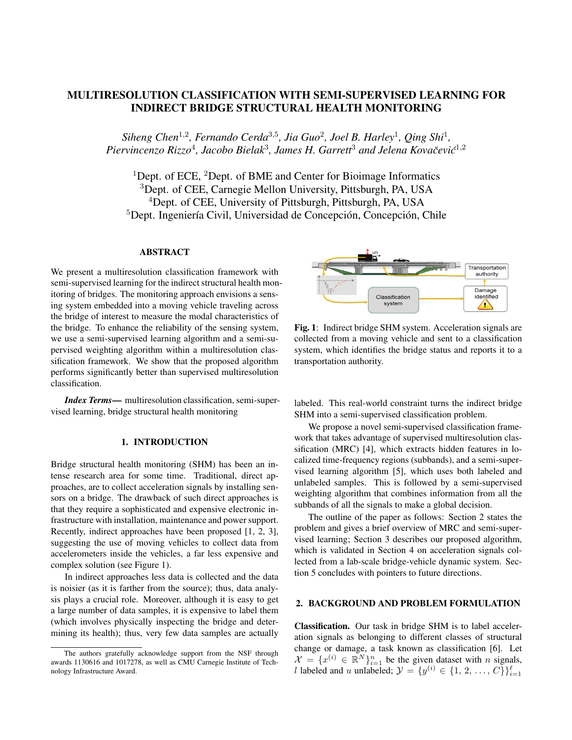# MULTIRESOLUTION CLASSIFICATION WITH SEMI-SUPERVISED LEARNING FOR INDIRECT BRIDGE STRUCTURAL HEALTH MONITORING

Siheng Chen<sup>1,2</sup>, Fernando Cerda<sup>3,5</sup>, Jia Guo<sup>2</sup>, Joel B. Harley<sup>1</sup>, Qing Shi<sup>1</sup>, Piervincenzo Rizzo<sup>4</sup>, Jacobo Bielak<sup>3</sup>, James H. Garrett<sup>3</sup> and Jelena Kovačević<sup>1,2</sup>

<sup>1</sup>Dept. of ECE, <sup>2</sup>Dept. of BME and Center for Bioimage Informatics <sup>3</sup>Dept. of CEE, Carnegie Mellon University, Pittsburgh, PA, USA <sup>4</sup>Dept. of CEE, University of Pittsburgh, Pittsburgh, PA, USA <sup>5</sup>Dept. Ingeniería Civil, Universidad de Concepción, Concepción, Chile

# ABSTRACT

We present a multiresolution classification framework with semi-supervised learning for the indirect structural health monitoring of bridges. The monitoring approach envisions a sensing system embedded into a moving vehicle traveling across the bridge of interest to measure the modal characteristics of the bridge. To enhance the reliability of the sensing system, we use a semi-supervised learning algorithm and a semi-supervised weighting algorithm within a multiresolution classification framework. We show that the proposed algorithm performs significantly better than supervised multiresolution classification.

*Index Terms*— multiresolution classification, semi-supervised learning, bridge structural health monitoring

# 1. INTRODUCTION

Bridge structural health monitoring (SHM) has been an intense research area for some time. Traditional, direct approaches, are to collect acceleration signals by installing sensors on a bridge. The drawback of such direct approaches is that they require a sophisticated and expensive electronic infrastructure with installation, maintenance and power support. Recently, indirect approaches have been proposed [1, 2, 3], suggesting the use of moving vehicles to collect data from accelerometers inside the vehicles, a far less expensive and complex solution (see Figure 1).

In indirect approaches less data is collected and the data is noisier (as it is farther from the source); thus, data analysis plays a crucial role. Moreover, although it is easy to get a large number of data samples, it is expensive to label them (which involves physically inspecting the bridge and determining its health); thus, very few data samples are actually



Fig. 1: Indirect bridge SHM system. Acceleration signals are collected from a moving vehicle and sent to a classification system, which identifies the bridge status and reports it to a transportation authority.

labeled. This real-world constraint turns the indirect bridge SHM into a semi-supervised classification problem.

We propose a novel semi-supervised classification framework that takes advantage of supervised multiresolution classification (MRC) [4], which extracts hidden features in localized time-frequency regions (subbands), and a semi-supervised learning algorithm [5], which uses both labeled and unlabeled samples. This is followed by a semi-supervised weighting algorithm that combines information from all the subbands of all the signals to make a global decision.

The outline of the paper as follows: Section 2 states the problem and gives a brief overview of MRC and semi-supervised learning; Section 3 describes our proposed algorithm, which is validated in Section 4 on acceleration signals collected from a lab-scale bridge-vehicle dynamic system. Section 5 concludes with pointers to future directions.

## 2. BACKGROUND AND PROBLEM FORMULATION

Classification. Our task in bridge SHM is to label acceleration signals as belonging to different classes of structural change or damage, a task known as classification [6]. Let  $\mathcal{X} = \{x^{(i)} \in \mathbb{R}^N\}_{i=1}^n$  be the given dataset with *n* signals, l labeled and u unlabeled;  $\mathcal{Y} = \{y^{(i)} \in \{1, 2, ..., C\}\}_{i=1}^{\ell}$ 

The authors gratefully acknowledge support from the NSF through awards 1130616 and 1017278, as well as CMU Carnegie Institute of Technology Infrastructure Award.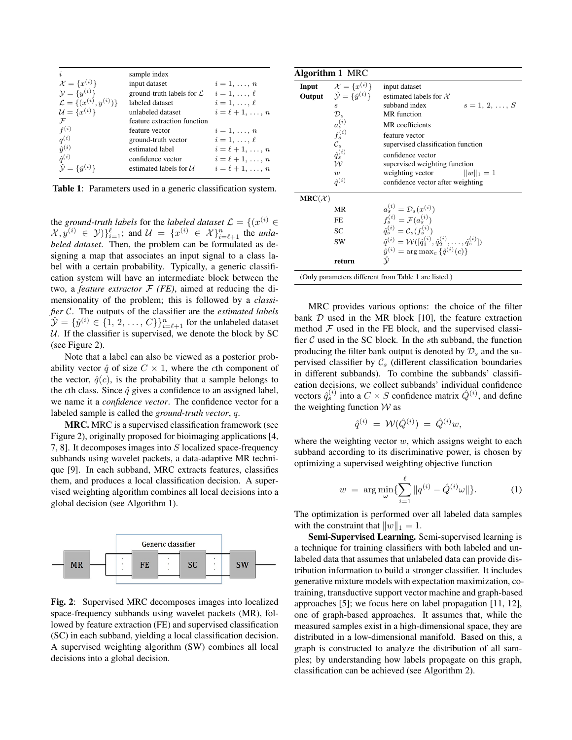|                                        | sample index                         |                     |
|----------------------------------------|--------------------------------------|---------------------|
| $\mathcal{X} = \{x^{(i)}\}$            | input dataset                        | $i=1,\ldots,n$      |
| $\mathcal{Y} = \{y^{(i)}\}$            | ground-truth labels for $\mathcal L$ | $i=1,\ldots,\ell$   |
| $\mathcal{L} = \{(x^{(i)}, y^{(i)})\}$ | labeled dataset                      | $i=1,\ldots,\ell$   |
| $\mathcal{U} = \{x^{(i)}\}$            | unlabeled dataset                    | $i=\ell+1,\ldots,n$ |
| $\mathcal F$                           | feature extraction function          |                     |
| $f^{(i)}$                              | feature vector                       | $i=1,\ldots,n$      |
| $q^{(i)}$                              | ground-truth vector                  | $i=1,\ldots,\ell$   |
| $\hat{y}^{(i)}$                        | estimated label                      | $i=\ell+1,\ldots,n$ |
| $\hat{q}^{(i)}$                        | confidence vector                    | $i=\ell+1,\ldots,n$ |
| $\hat{\mathcal{Y}} = {\hat{y}^{(i)}}$  | estimated labels for $U$             | $i=\ell+1,\ldots,n$ |
|                                        |                                      |                     |

Table 1: Parameters used in a generic classification system.

the *ground-truth labels* for the *labeled dataset*  $\mathcal{L} = \{ (x^{(i)} \in \mathcal{L} \mid \mathcal{L} \in \mathcal{L} \mid \mathcal{L} \in \mathcal{L} \mid \mathcal{L} \in \mathcal{L} \}$  $\{\mathcal{X}, y^{(i)} \in \mathcal{Y}\}\}_{i=1}^{\ell}$ ; and  $\mathcal{U} = \{x^{(i)} \in \mathcal{X}\}_{i=\ell+1}^{n}$  the *unlabeled dataset*. Then, the problem can be formulated as designing a map that associates an input signal to a class label with a certain probability. Typically, a generic classification system will have an intermediate block between the two, a *feature extractor*  $F$  *(FE)*, aimed at reducing the dimensionality of the problem; this is followed by a *classifier* C. The outputs of the classifier are the *estimated labels*  $\hat{\mathcal{Y}} = \{\hat{y}^{(i)} \in \{1, 2, ..., C\}\}_{i=\ell+1}^n$  for the unlabeled dataset  $U$ . If the classifier is supervised, we denote the block by SC (see Figure 2).

Note that a label can also be viewed as a posterior probability vector  $\hat{q}$  of size  $C \times 1$ , where the cth component of the vector,  $\hat{q}(c)$ , is the probability that a sample belongs to the cth class. Since  $\hat{q}$  gives a confidence to an assigned label, we name it a *confidence vector*. The confidence vector for a labeled sample is called the *ground-truth vector*, q.

MRC. MRC is a supervised classification framework (see Figure 2), originally proposed for bioimaging applications [4, 7, 8]. It decomposes images into S localized space-frequency subbands using wavelet packets, a data-adaptive MR technique [9]. In each subband, MRC extracts features, classifies them, and produces a local classification decision. A supervised weighting algorithm combines all local decisions into a global decision (see Algorithm 1).



Fig. 2: Supervised MRC decomposes images into localized space-frequency subbands using wavelet packets (MR), followed by feature extraction (FE) and supervised classification (SC) in each subband, yielding a local classification decision. A supervised weighting algorithm (SW) combines all local decisions into a global decision.

| Input              | $\mathcal{X} = \{x^{(i)}\}$                            | input dataset                                                                             |
|--------------------|--------------------------------------------------------|-------------------------------------------------------------------------------------------|
|                    | <b>Output</b> $\hat{\mathcal{Y}} = \{\hat{y}^{(i)}\}\$ | estimated labels for $X$                                                                  |
|                    | $\boldsymbol{s}$                                       | subband index<br>$s = 1, 2, , S$                                                          |
|                    | $\mathcal{D}_s$                                        | MR function                                                                               |
|                    | $a_s^{(i)}$                                            | MR coefficients                                                                           |
|                    | $f_s^{(i)}$                                            | feature vector                                                                            |
|                    | $\mathcal{C}_{\rm s}$                                  | supervised classification function                                                        |
|                    | $\hat{q}_s^{(i)}$                                      | confidence vector                                                                         |
|                    | $\mathcal W$                                           | supervised weighting function                                                             |
|                    | $\overline{w}$                                         | weighting vector<br>$  w  _1 = 1$                                                         |
|                    | $\hat{a}^{(i)}$                                        | confidence vector after weighting                                                         |
| $MRC(\mathcal{X})$ |                                                        |                                                                                           |
|                    | MR                                                     | $a_s^{(i)} = \mathcal{D}_s(x^{(i)})$                                                      |
|                    | FE                                                     | $f_s^{(i)} = \mathcal{F}(a_s^{(i)})$                                                      |
|                    | SC                                                     | $\hat{a}_{s}^{(i)} = C_{s}(f_{s}^{(i)})$                                                  |
|                    | SW                                                     | $\hat{q}^{(i)} = \mathcal{W}([\hat{q}_1^{(i)}, \hat{q}_2^{(i)}, \dots, \hat{q}_s^{(i)}])$ |
|                    |                                                        | $\hat{y}^{(i)} = \arg \max_{c} \{ \hat{q}^{(i)}(c) \}$                                    |
|                    | return                                                 |                                                                                           |

MRC provides various options: the choice of the filter bank  $D$  used in the MR block [10], the feature extraction method  $F$  used in the FE block, and the supervised classifier  $C$  used in the SC block. In the sth subband, the function producing the filter bank output is denoted by  $\mathcal{D}_s$  and the supervised classifier by  $C_s$  (different classification boundaries in different subbands). To combine the subbands' classification decisions, we collect subbands' individual confidence vectors  $\hat{q}_s^{(i)}$  into a  $C \times S$  confidence matrix  $\hat{Q}^{(i)}$ , and define the weighting function  $W$  as

$$
\hat{q}^{(i)}\ =\ \mathcal{W}(\hat{Q}^{(i)})\ =\ \hat{Q}^{(i)}w,
$$

where the weighting vector  $w$ , which assigns weight to each subband according to its discriminative power, is chosen by optimizing a supervised weighting objective function

$$
w = \arg\min_{\omega} \{ \sum_{i=1}^{\ell} \| q^{(i)} - \hat{Q}^{(i)}\omega \| \}.
$$
 (1)

The optimization is performed over all labeled data samples with the constraint that  $||w||_1 = 1$ .

Semi-Supervised Learning. Semi-supervised learning is a technique for training classifiers with both labeled and unlabeled data that assumes that unlabeled data can provide distribution information to build a stronger classifier. It includes generative mixture models with expectation maximization, cotraining, transductive support vector machine and graph-based approaches [5]; we focus here on label propagation [11, 12], one of graph-based approaches. It assumes that, while the measured samples exist in a high-dimensional space, they are distributed in a low-dimensional manifold. Based on this, a graph is constructed to analyze the distribution of all samples; by understanding how labels propagate on this graph, classification can be achieved (see Algorithm 2).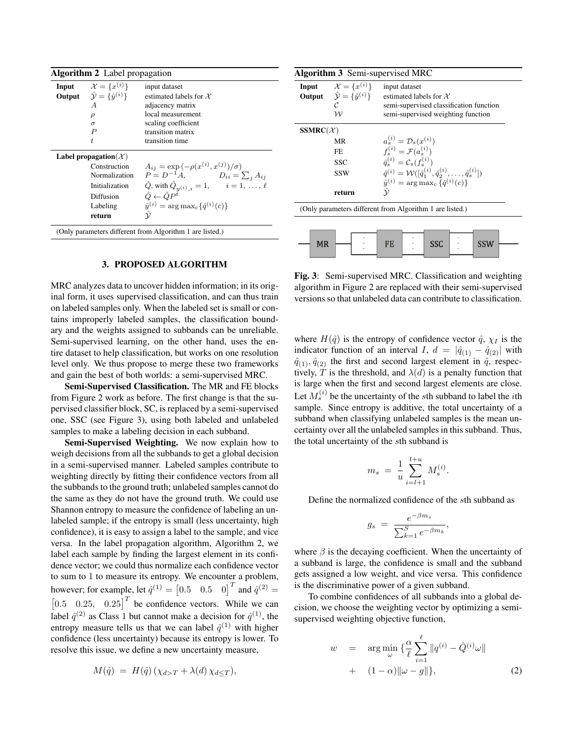| <b>Algorithm 2</b> Label propagation                                                                                                                                                                                                                                                                                                                                                                       |                                                                                                                                                         |                                                                                                                                                   |  |  |
|------------------------------------------------------------------------------------------------------------------------------------------------------------------------------------------------------------------------------------------------------------------------------------------------------------------------------------------------------------------------------------------------------------|---------------------------------------------------------------------------------------------------------------------------------------------------------|---------------------------------------------------------------------------------------------------------------------------------------------------|--|--|
|                                                                                                                                                                                                                                                                                                                                                                                                            | <b>Input</b> $\mathcal{X} = \{x^{(i)}\}$<br><b>Output</b> $\hat{\mathcal{Y}} = \{\hat{y}^{(i)}\}\$<br>A<br>$\rho$<br>$\sigma$<br>$\boldsymbol{P}$<br>t. | input dataset<br>estimated labels for $X$<br>adjacency matrix<br>local measurement<br>scaling coefficient<br>transition matrix<br>transition time |  |  |
| Label propagation( $\mathcal{X}$ )<br>$A_{ij} = \exp(-\rho(x^{(i)}, x^{(j)})/\sigma)$<br>Construction<br>$P = D^{-1}A,$ $D_{ii} = \sum_{j} A_{ij}$<br>Normalization<br>$\hat{Q}$ , with $\hat{Q}_{y^{(i)},i} = 1, \quad i = 1, \ldots, \ell$<br><b>Initialization</b><br>$\hat{Q} \leftarrow \hat{Q} P^{\hat{t}}$<br>Diffusion<br>$\hat{y}^{(i)} = \arg \max_{c} {\hat{q}^{(i)}(c)}$<br>Labeling<br>return |                                                                                                                                                         |                                                                                                                                                   |  |  |
| (Only parameters different from Algorithm 1 are listed.)                                                                                                                                                                                                                                                                                                                                                   |                                                                                                                                                         |                                                                                                                                                   |  |  |

#### 3. PROPOSED ALGORITHM

MRC analyzes data to uncover hidden information; in its original form, it uses supervised classification, and can thus train on labeled samples only. When the labeled set is small or contains improperly labeled samples, the classification boundary and the weights assigned to subbands can be unreliable. Semi-supervised learning, on the other hand, uses the entire dataset to help classification, but works on one resolution level only. We thus propose to merge these two frameworks and gain the best of both worlds: a semi-supervised MRC.

Semi-Supervised Classification. The MR and FE blocks from Figure 2 work as before. The first change is that the supervised classifier block, SC, is replaced by a semi-supervised one, SSC (see Figure 3), using both labeled and unlabeled samples to make a labeling decision in each subband.

Semi-Supervised Weighting. We now explain how to weigh decisions from all the subbands to get a global decision in a semi-supervised manner. Labeled samples contribute to weighting directly by fitting their confidence vectors from all the subbands to the ground truth; unlabeled samples cannot do the same as they do not have the ground truth. We could use Shannon entropy to measure the confidence of labeling an unlabeled sample; if the entropy is small (less uncertainty, high confidence), it is easy to assign a label to the sample, and vice versa. In the label propagation algorithm, Algorithm 2, we label each sample by finding the largest element in its confidence vector; we could thus normalize each confidence vector to sum to 1 to measure its entropy. We encounter a problem, however; for example, let  $\hat{q}^{(1)} = \begin{bmatrix} 0.5 & 0.5 & 0 \end{bmatrix}^T$  and  $\hat{q}^{(2)} =$  $\begin{bmatrix} 0.5 & 0.25, & 0.25 \end{bmatrix}^T$  be confidence vectors. While we can label  $\hat{q}^{(2)}$  as Class 1 but cannot make a decision for  $\hat{q}^{(1)}$ , the entropy measure tells us that we can label  $\hat{q}^{(1)}$  with higher confidence (less uncertainty) because its entropy is lower. To resolve this issue, we define a new uncertainty measure,

$$
M(\hat{q}) = H(\hat{q}) (\chi_{d>T} + \lambda(d) \chi_{d \leq T}),
$$

|                                                          | <b>Algorithm 3</b> Semi-supervised MRC                                                                                                |                                                                                                                            |  |  |  |
|----------------------------------------------------------|---------------------------------------------------------------------------------------------------------------------------------------|----------------------------------------------------------------------------------------------------------------------------|--|--|--|
|                                                          | <b>Input</b> $\mathcal{X} = \{x^{(i)}\}\$<br><b>Output</b> $\hat{\mathcal{Y}} = \{\hat{y}^{(i)}\}\$<br>$\mathcal{C}$<br>$\mathcal{W}$ | input dataset<br>estimated labels for $X$<br>semi-supervised classification function<br>semi-supervised weighting function |  |  |  |
| $SSMRC(\mathcal{X})$                                     |                                                                                                                                       |                                                                                                                            |  |  |  |
|                                                          | MR                                                                                                                                    | $a_s^{(i)} = \mathcal{D}_s(x^{(i)})$                                                                                       |  |  |  |
|                                                          | FF.                                                                                                                                   | $f_s^{(i)} = \mathcal{F}(a_s^{(i)})$                                                                                       |  |  |  |
|                                                          | <b>SSC</b>                                                                                                                            | $\hat{q}_{s}^{(i)} = C_{s}(f_{s}^{(i)})$                                                                                   |  |  |  |
|                                                          | <b>SSW</b>                                                                                                                            | $\hat{q}^{(i)} = \mathcal{W}([\hat{q}_1^{(i)}, \hat{q}_2^{(i)}, \dots, \hat{q}_s^{(i)}])$                                  |  |  |  |
|                                                          |                                                                                                                                       | $\hat{y}^{(i)} = \arg \max_{c} \{ \hat{q}^{(i)}(c) \}$                                                                     |  |  |  |
|                                                          | return                                                                                                                                |                                                                                                                            |  |  |  |
| (Only parameters different from Algorithm 1 are listed.) |                                                                                                                                       |                                                                                                                            |  |  |  |
| <b>MR</b>                                                |                                                                                                                                       | SSC<br>FE<br>SSW                                                                                                           |  |  |  |

Fig. 3: Semi-supervised MRC. Classification and weighting algorithm in Figure 2 are replaced with their semi-supervised versions so that unlabeled data can contribute to classification.

where  $H(\hat{q})$  is the entropy of confidence vector  $\hat{q}$ ,  $\chi_I$  is the indicator function of an interval I,  $d = |\hat{q}_{(1)} - \hat{q}_{(2)}|$  with  $\hat{q}_{(1)}, \hat{q}_{(2)}$  the first and second largest element in  $\hat{q}$ , respectively, T is the threshold, and  $\lambda(d)$  is a penalty function that is large when the first and second largest elements are close. Let  $M_s^{(i)}$  be the uncertainty of the sth subband to label the *i*th sample. Since entropy is additive, the total uncertainty of a subband when classifying unlabeled samples is the mean uncertainty over all the unlabeled samples in this subband. Thus, the total uncertainty of the sth subband is

$$
m_s = \frac{1}{u} \sum_{i=l+1}^{l+u} M_s^{(i)}.
$$

Define the normalized confidence of the sth subband as

$$
g_s = \frac{e^{-\beta m_s}}{\sum_{k=1}^S e^{-\beta m_k}},
$$

where  $\beta$  is the decaying coefficient. When the uncertainty of a subband is large, the confidence is small and the subband gets assigned a low weight, and vice versa. This confidence is the discriminative power of a given subband.

To combine confidences of all subbands into a global decision, we choose the weighting vector by optimizing a semisupervised weighting objective function,

$$
w = \arg\min_{\omega} \left\{ \frac{\alpha}{\ell} \sum_{i=1}^{\ell} \| q^{(i)} - \hat{Q}^{(i)} \omega \| \right. \\ + \left. (1 - \alpha) \| \omega - g \| \right\}, \tag{2}
$$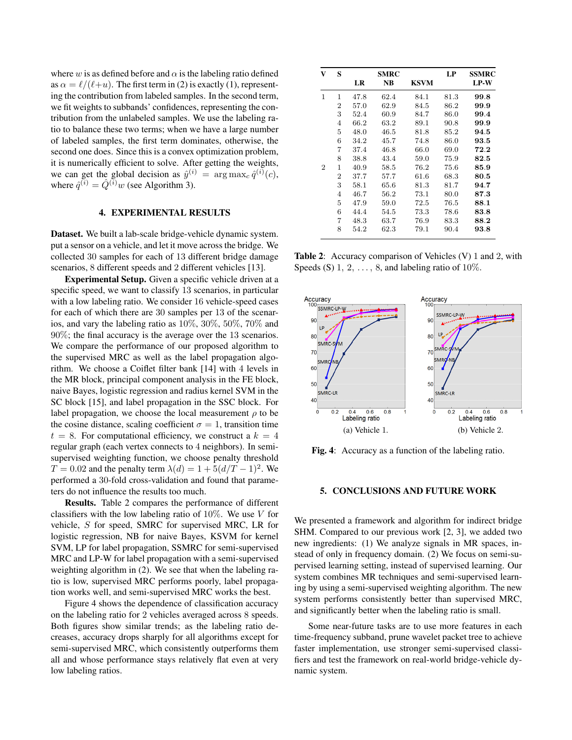where w is as defined before and  $\alpha$  is the labeling ratio defined as  $\alpha = \ell/(\ell+u)$ . The first term in (2) is exactly (1), representing the contribution from labeled samples. In the second term, we fit weights to subbands' confidences, representing the contribution from the unlabeled samples. We use the labeling ratio to balance these two terms; when we have a large number of labeled samples, the first term dominates, otherwise, the second one does. Since this is a convex optimization problem, it is numerically efficient to solve. After getting the weights, we can get the global decision as  $\hat{y}^{(i)} = \arg \max_{c} \hat{q}^{(i)}(c)$ , where  $\hat{q}^{(i)} = \hat{Q}^{(i)}w$  (see Algorithm 3).

## 4. EXPERIMENTAL RESULTS

Dataset. We built a lab-scale bridge-vehicle dynamic system. put a sensor on a vehicle, and let it move across the bridge. We collected 30 samples for each of 13 different bridge damage scenarios, 8 different speeds and 2 different vehicles [13].

Experimental Setup. Given a specific vehicle driven at a specific speed, we want to classify 13 scenarios, in particular with a low labeling ratio. We consider 16 vehicle-speed cases for each of which there are 30 samples per 13 of the scenarios, and vary the labeling ratio as 10%, 30%, 50%, 70% and 90%; the final accuracy is the average over the 13 scenarios. We compare the performance of our proposed algorithm to the supervised MRC as well as the label propagation algorithm. We choose a Coiflet filter bank [14] with 4 levels in the MR block, principal component analysis in the FE block, naive Bayes, logistic regression and radius kernel SVM in the SC block [15], and label propagation in the SSC block. For label propagation, we choose the local measurement  $\rho$  to be the cosine distance, scaling coefficient  $\sigma = 1$ , transition time  $t = 8$ . For computational efficiency, we construct a  $k = 4$ regular graph (each vertex connects to 4 neighbors). In semisupervised weighting function, we choose penalty threshold  $T = 0.02$  and the penalty term  $\lambda(d) = 1 + 5(d/T - 1)^2$ . We performed a 30-fold cross-validation and found that parameters do not influence the results too much.

Results. Table 2 compares the performance of different classifiers with the low labeling ratio of  $10\%$ . We use V for vehicle, S for speed, SMRC for supervised MRC, LR for logistic regression, NB for naive Bayes, KSVM for kernel SVM, LP for label propagation, SSMRC for semi-supervised MRC and LP-W for label propagation with a semi-supervised weighting algorithm in (2). We see that when the labeling ratio is low, supervised MRC performs poorly, label propagation works well, and semi-supervised MRC works the best.

Figure 4 shows the dependence of classification accuracy on the labeling ratio for 2 vehicles averaged across 8 speeds. Both figures show similar trends; as the labeling ratio decreases, accuracy drops sharply for all algorithms except for semi-supervised MRC, which consistently outperforms them all and whose performance stays relatively flat even at very low labeling ratios.

| 1<br>1<br>47.8<br>62.4<br>84.1<br>81.3<br>$\overline{2}$<br>57.0<br>62.9<br>84.5<br>86.2<br>3<br>52.4<br>60.9<br>84.7<br>86.0<br>4<br>66.2<br>63.2<br>89.1<br>90.8<br>5<br>46.5<br>48.0<br>81.8<br>85.2<br>6<br>45.7<br>34.2<br>74.8<br>86.0<br>7<br>37.4<br>46.8<br>66.0<br>69.0<br>8<br>43.4<br>59.0<br>75.9<br>38.8<br>$\overline{2}$<br>$\mathbf 1$<br>40.9<br>58.5<br>76.2<br>75.6<br>$\overline{2}$<br>57.7<br>37.7<br>61.6<br>68.3<br>3<br>58.1<br>65.6<br>81.3<br>81.7<br>4<br>46.7<br>56.2<br>73.1<br>80.0<br>5<br>72.5<br>76.5<br>47.9<br>59.0<br>6<br>73.3<br>44.4<br>54.5<br>78.6 | S | <b>SMRC</b><br>NB | KSVM | LP   | SSMRC<br><b>LP-W</b> |
|-----------------------------------------------------------------------------------------------------------------------------------------------------------------------------------------------------------------------------------------------------------------------------------------------------------------------------------------------------------------------------------------------------------------------------------------------------------------------------------------------------------------------------------------------------------------------------------------------|---|-------------------|------|------|----------------------|
|                                                                                                                                                                                                                                                                                                                                                                                                                                                                                                                                                                                               |   |                   |      |      | 99.8                 |
|                                                                                                                                                                                                                                                                                                                                                                                                                                                                                                                                                                                               |   |                   |      |      | 99.9                 |
|                                                                                                                                                                                                                                                                                                                                                                                                                                                                                                                                                                                               |   |                   |      |      | 99.4                 |
|                                                                                                                                                                                                                                                                                                                                                                                                                                                                                                                                                                                               |   |                   |      |      | 99.9                 |
|                                                                                                                                                                                                                                                                                                                                                                                                                                                                                                                                                                                               |   |                   |      |      | 94.5                 |
|                                                                                                                                                                                                                                                                                                                                                                                                                                                                                                                                                                                               |   |                   |      |      | 93.5                 |
|                                                                                                                                                                                                                                                                                                                                                                                                                                                                                                                                                                                               |   |                   |      |      | 72.2                 |
|                                                                                                                                                                                                                                                                                                                                                                                                                                                                                                                                                                                               |   |                   |      |      | 82.5                 |
|                                                                                                                                                                                                                                                                                                                                                                                                                                                                                                                                                                                               |   |                   |      |      | 85.9                 |
|                                                                                                                                                                                                                                                                                                                                                                                                                                                                                                                                                                                               |   |                   |      |      | 80.5                 |
|                                                                                                                                                                                                                                                                                                                                                                                                                                                                                                                                                                                               |   |                   |      |      | 94.7                 |
|                                                                                                                                                                                                                                                                                                                                                                                                                                                                                                                                                                                               |   |                   |      |      | 87.3                 |
|                                                                                                                                                                                                                                                                                                                                                                                                                                                                                                                                                                                               |   |                   |      |      | 88.1                 |
|                                                                                                                                                                                                                                                                                                                                                                                                                                                                                                                                                                                               |   |                   |      |      | 83.8                 |
| 48.3                                                                                                                                                                                                                                                                                                                                                                                                                                                                                                                                                                                          | 7 | 63.7              | 76.9 | 83.3 | 88.2                 |
| 8<br>54.2<br>62.3<br>79.1<br>90.4                                                                                                                                                                                                                                                                                                                                                                                                                                                                                                                                                             |   |                   |      |      | 93.8                 |

Table 2: Accuracy comparison of Vehicles (V) 1 and 2, with Speeds (S)  $1, 2, \ldots, 8$ , and labeling ratio of  $10\%$ .



Fig. 4: Accuracy as a function of the labeling ratio.

#### 5. CONCLUSIONS AND FUTURE WORK

We presented a framework and algorithm for indirect bridge SHM. Compared to our previous work [2, 3], we added two new ingredients: (1) We analyze signals in MR spaces, instead of only in frequency domain. (2) We focus on semi-supervised learning setting, instead of supervised learning. Our system combines MR techniques and semi-supervised learning by using a semi-supervised weighting algorithm. The new system performs consistently better than supervised MRC, and significantly better when the labeling ratio is small.

Some near-future tasks are to use more features in each time-frequency subband, prune wavelet packet tree to achieve faster implementation, use stronger semi-supervised classifiers and test the framework on real-world bridge-vehicle dynamic system.